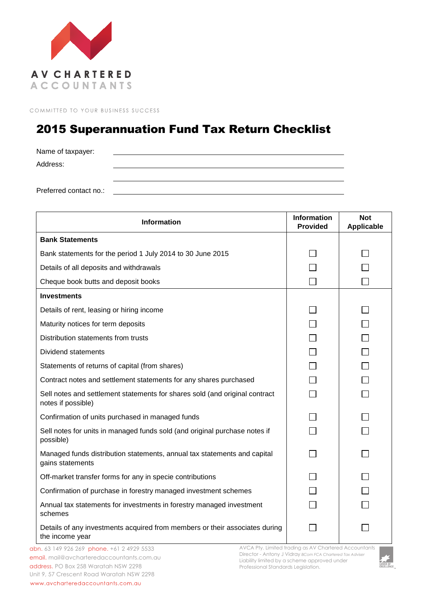

COMMITTED TO YOUR BUSINESS SUCCESS

## 2015 Superannuation Fund Tax Return Checklist

Name of taxpayer: Address:

Preferred contact no.:

| <b>Information</b>                                                                                | <b>Information</b><br><b>Provided</b> | <b>Not</b><br><b>Applicable</b> |
|---------------------------------------------------------------------------------------------------|---------------------------------------|---------------------------------|
| <b>Bank Statements</b>                                                                            |                                       |                                 |
| Bank statements for the period 1 July 2014 to 30 June 2015                                        |                                       |                                 |
| Details of all deposits and withdrawals                                                           |                                       |                                 |
| Cheque book butts and deposit books                                                               |                                       |                                 |
| <b>Investments</b>                                                                                |                                       |                                 |
| Details of rent, leasing or hiring income                                                         |                                       |                                 |
| Maturity notices for term deposits                                                                |                                       |                                 |
| Distribution statements from trusts                                                               |                                       |                                 |
| <b>Dividend statements</b>                                                                        |                                       |                                 |
| Statements of returns of capital (from shares)                                                    |                                       |                                 |
| Contract notes and settlement statements for any shares purchased                                 |                                       |                                 |
| Sell notes and settlement statements for shares sold (and original contract<br>notes if possible) |                                       |                                 |
| Confirmation of units purchased in managed funds                                                  |                                       |                                 |
| Sell notes for units in managed funds sold (and original purchase notes if<br>possible)           |                                       |                                 |
| Managed funds distribution statements, annual tax statements and capital<br>gains statements      |                                       |                                 |
| Off-market transfer forms for any in specie contributions                                         |                                       |                                 |
| Confirmation of purchase in forestry managed investment schemes                                   |                                       |                                 |
| Annual tax statements for investments in forestry managed investment<br>schemes                   |                                       |                                 |
| Details of any investments acquired from members or their associates during<br>the income year    |                                       |                                 |

abn. 63 149 926 269 phone. +61 2 4929 5533 email. mail@avcharteredaccountants.com.au address. PO Box 258 Waratah NSW 2298 Unit 9, 57 Crescent Road Waratah NSW 2298 www.avcharteredaccountants.com.au

AVCA Pty. Limited trading as AV Chartered Accountants Director - Antony J Vidray *BCom FCA Chartered Tax Adviser* Liability limited by a scheme approved under Professional Standards Legislation.

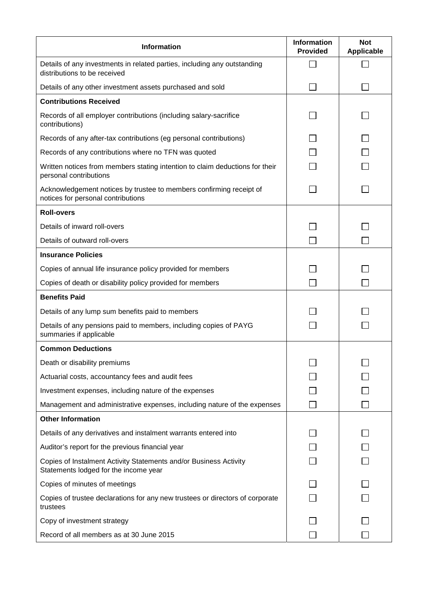| <b>Information</b>                                                                                         | <b>Information</b><br><b>Provided</b> | <b>Not</b><br><b>Applicable</b> |
|------------------------------------------------------------------------------------------------------------|---------------------------------------|---------------------------------|
| Details of any investments in related parties, including any outstanding<br>distributions to be received   |                                       |                                 |
| Details of any other investment assets purchased and sold                                                  |                                       |                                 |
| <b>Contributions Received</b>                                                                              |                                       |                                 |
| Records of all employer contributions (including salary-sacrifice<br>contributions)                        |                                       |                                 |
| Records of any after-tax contributions (eg personal contributions)                                         |                                       |                                 |
| Records of any contributions where no TFN was quoted                                                       |                                       |                                 |
| Written notices from members stating intention to claim deductions for their<br>personal contributions     |                                       |                                 |
| Acknowledgement notices by trustee to members confirming receipt of<br>notices for personal contributions  |                                       |                                 |
| <b>Roll-overs</b>                                                                                          |                                       |                                 |
| Details of inward roll-overs                                                                               |                                       |                                 |
| Details of outward roll-overs                                                                              |                                       |                                 |
| <b>Insurance Policies</b>                                                                                  |                                       |                                 |
| Copies of annual life insurance policy provided for members                                                |                                       |                                 |
| Copies of death or disability policy provided for members                                                  |                                       |                                 |
| <b>Benefits Paid</b>                                                                                       |                                       |                                 |
| Details of any lump sum benefits paid to members                                                           |                                       |                                 |
| Details of any pensions paid to members, including copies of PAYG<br>summaries if applicable               |                                       |                                 |
| <b>Common Deductions</b>                                                                                   |                                       |                                 |
| Death or disability premiums                                                                               |                                       |                                 |
| Actuarial costs, accountancy fees and audit fees                                                           |                                       |                                 |
| Investment expenses, including nature of the expenses                                                      |                                       |                                 |
| Management and administrative expenses, including nature of the expenses                                   |                                       |                                 |
| <b>Other Information</b>                                                                                   |                                       |                                 |
| Details of any derivatives and instalment warrants entered into                                            |                                       |                                 |
| Auditor's report for the previous financial year                                                           |                                       |                                 |
| Copies of Instalment Activity Statements and/or Business Activity<br>Statements lodged for the income year |                                       |                                 |
| Copies of minutes of meetings                                                                              |                                       |                                 |
| Copies of trustee declarations for any new trustees or directors of corporate<br>trustees                  |                                       |                                 |
| Copy of investment strategy                                                                                |                                       |                                 |
| Record of all members as at 30 June 2015                                                                   |                                       |                                 |